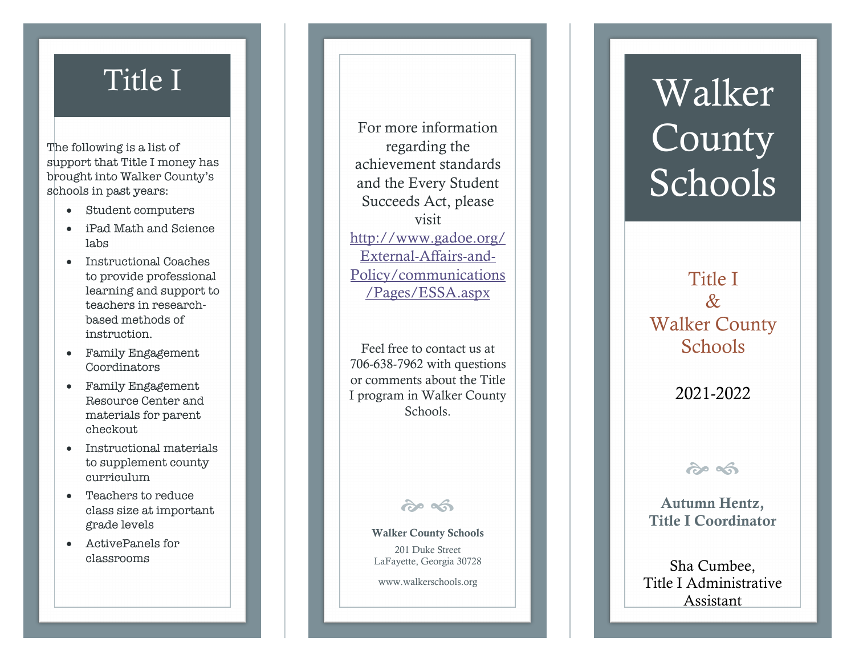The following is a list of support that Title I money has brought into Walker County's schools in past years :

- Student computers
- iPad Math and Science labs
- Instructional Coaches to provide professional learning and support to teachers in research based methods of instruction.
- Family Engagement Coordinators
- Family Engagement Resource Center and materials for parent checkout
- Instructional materials to supplement county curriculum
- Teachers to reduce class size at important grade levels
- ActivePanels for classrooms

For more information regarding the achievement standards and the Every Student Succeeds Act, please visit http://www.gadoe.org/ External-Affairs-and-Policy/communications /Pages/ESSA.aspx

Feel free to contact us at 706 -638 -7962 with questions or comments about the Title I program in Walker County Schools.

 $209$ 

Walker County Schools 201 Duke Street LaFayette, Georgia 30728

www.walkerschools.org

# Title I Walker County Schools

Title I  $\mathcal{R}_{\mathcal{T}}$ Walker County Schools

2021 -2022

 $\hat{\sigma}$ 

 Autumn Hentz, Title I Coordinator

Sha Cumbee, Title I Administrative Assistant